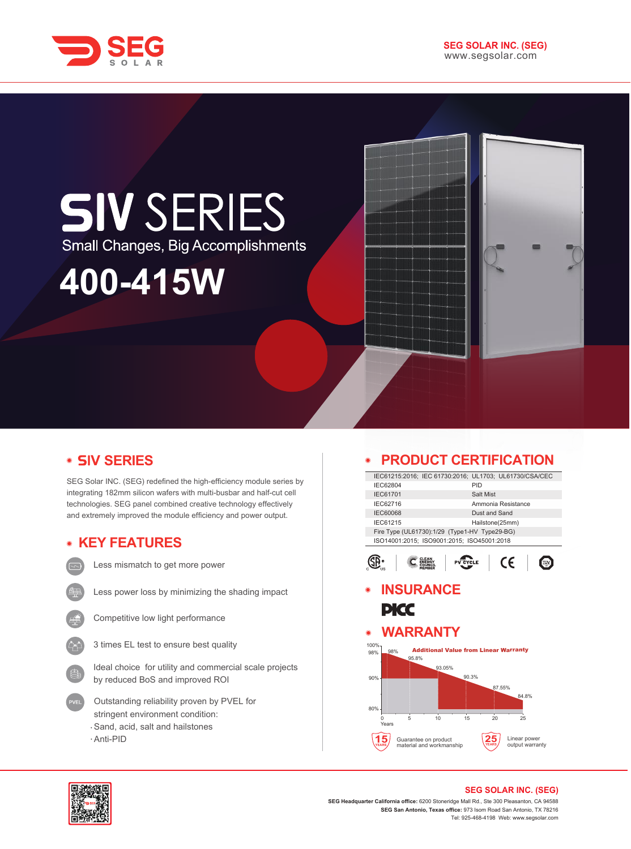

# **SIV SERIES** Small Changes, Big Accomplishments

## **400-415W**

### **V SERIES**

SEG Solar INC. (SEG) redefined the high-efficiency module series by integrating 182mm silicon wafers with multi-busbar and half-cut cell technologies. SEG panel combined creative technology effectively and extremely improved the module efficiency and power output.

### **KEY FEATURES**



Less mismatch to get more power



Less power loss by minimizing the shading impact



Competitive low light performance



Ideal choice for utility and commercial scale projects by reduced BoS and improved ROI

- Outstanding reliability proven by PVEL for stringent environment condition: Sand, acid, salt and hailstones
- Anti-PID

### **PRODUCT CERTIFICATION**

|                                                                                             | PRODUCT CERTIFICATION                                  |  |  |
|---------------------------------------------------------------------------------------------|--------------------------------------------------------|--|--|
|                                                                                             | IEC61215:2016; IEC 61730:2016; UL1703; UL61730/CSA/CEC |  |  |
| IEC62804                                                                                    | PID                                                    |  |  |
| IEC61701                                                                                    | Salt Mist                                              |  |  |
| IEC62716                                                                                    | Ammonia Resistance                                     |  |  |
| <b>IEC60068</b>                                                                             | Dust and Sand                                          |  |  |
| IEC61215                                                                                    | Hailstone(25mm)                                        |  |  |
| Fire Type (UL61730):1/29 (Type1-HV Type29-BG)<br>ISO14001:2015; ISO9001:2015; ISO45001:2018 |                                                        |  |  |
|                                                                                             | CE                                                     |  |  |
| <b>INSURANCE</b>                                                                            |                                                        |  |  |
| PKC<br><b>WARRANTY</b><br>◉                                                                 |                                                        |  |  |
|                                                                                             |                                                        |  |  |
| 100%<br>98%<br>98%<br>95.8%<br>93.05%                                                       | <b>Additional Value from Linear Warranty</b>           |  |  |
| 90%<br>80%                                                                                  | 90.3%<br>87.55%<br>84.8%                               |  |  |
| 5<br>10<br>U<br>Years                                                                       | 15<br>20<br>25                                         |  |  |
| Guarantee on product<br>material and workmanship                                            | Linear power<br>output warranty                        |  |  |



#### **SEG SOLAR INC. (SEG)**

**SEG Headquarter California office:** 6200 Stoneridge Mall Rd., Ste 300 Pleasanton, CA 94588 **SEG San Antonio, Texas office:** 973 Isom Road San Antonio, TX 78216 Tel: 925-468-4198 Web: www.segsolar.com